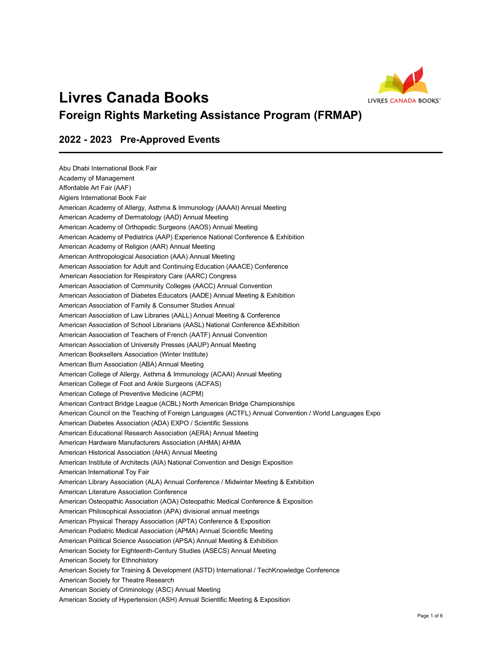

## **Livres Canada Books Foreign Rights Marketing Assistance Program (FRMAP)**

## **2022 - 2023 Pre-Approved Events**

Abu Dhabi International Book Fair Academy of Management Affordable Art Fair (AAF) Algiers International Book Fair American Academy of Allergy, Asthma & Immunology (AAAAI) Annual Meeting American Academy of Dermatology (AAD) Annual Meeting American Academy of Orthopedic Surgeons (AAOS) Annual Meeting American Academy of Pediatrics (AAP) Experience National Conference & Exhibition American Academy of Religion (AAR) Annual Meeting American Anthropological Association (AAA) Annual Meeting American Association for Adult and Continuing Education (AAACE) Conference American Association for Respiratory Care (AARC) Congress American Association of Community Colleges (AACC) Annual Convention American Association of Diabetes Educators (AADE) Annual Meeting & Exhibition American Association of Family & Consumer Studies Annual American Association of Law Libraries (AALL) Annual Meeting & Conference American Association of School Librarians (AASL) National Conference &Exhibition American Association of Teachers of French (AATF) Annual Convention American Association of University Presses (AAUP) Annual Meeting American Booksellers Association (Winter Institute) American Burn Association (ABA) Annual Meeting American College of Allergy, Asthma & Immunology (ACAAI) Annual Meeting American College of Foot and Ankle Surgeons (ACFAS) American College of Preventive Medicine (ACPM) American Contract Bridge League (ACBL) North American Bridge Championships American Council on the Teaching of Foreign Languages (ACTFL) Annual Convention / World Languages Expo American Diabetes Association (ADA) EXPO / Scientific Sessions American Educational Research Association (AERA) Annual Meeting American Hardware Manufacturers Association (AHMA) AHMA American Historical Association (AHA) Annual Meeting American Institute of Architects (AIA) National Convention and Design Exposition American International Toy Fair American Library Association (ALA) Annual Conference / Midwinter Meeting & Exhibition American Literature Association Conference American Osteopathic Association (AOA) Osteopathic Medical Conference & Exposition American Philosophical Association (APA) divisional annual meetings American Physical Therapy Association (APTA) Conference & Exposition American Podiatric Medical Association (APMA) Annual Scientific Meeting American Political Science Association (APSA) Annual Meeting & Exhibition American Society for Eighteenth-Century Studies (ASECS) Annual Meeting American Society for Ethnohistory American Society for Training & Development (ASTD) International / TechKnowledge Conference American Society for Theatre Research American Society of Criminology (ASC) Annual Meeting American Society of Hypertension (ASH) Annual Scientific Meeting & Exposition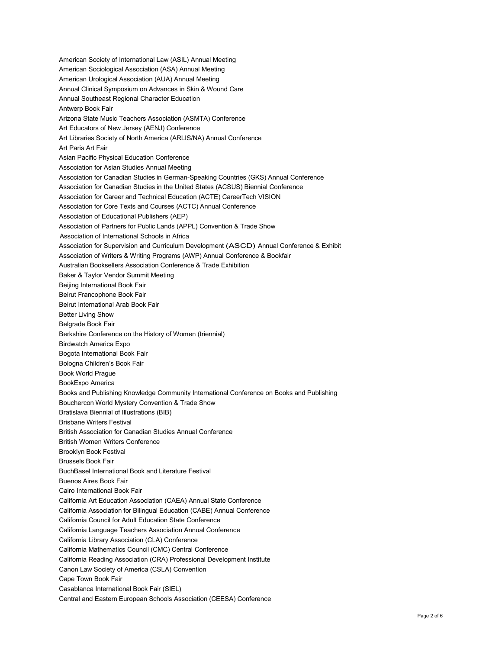American Society of International Law (ASIL) Annual Meeting American Sociological Association (ASA) Annual Meeting American Urological Association (AUA) Annual Meeting Annual Clinical Symposium on Advances in Skin & Wound Care Annual Southeast Regional Character Education Antwerp Book Fair Arizona State Music Teachers Association (ASMTA) Conference Art Educators of New Jersey (AENJ) Conference Art Libraries Society of North America (ARLIS/NA) Annual Conference Art Paris Art Fair Asian Pacific Physical Education Conference Association for Asian Studies Annual Meeting Association for Canadian Studies in German-Speaking Countries (GKS) Annual Conference Association for Canadian Studies in the United States (ACSUS) Biennial Conference Association for Career and Technical Education (ACTE) CareerTech VISION Association for Core Texts and Courses (ACTC) Annual Conference Association of Educational Publishers (AEP) Association of Partners for Public Lands (APPL) Convention & Trade Show Association of International Schools in Africa Association for Supervision and Curriculum Development (ASCD) Annual Conference & Exhibit Association of Writers & Writing Programs (AWP) Annual Conference & Bookfair Australian Booksellers Association Conference & Trade Exhibition Baker & Taylor Vendor Summit Meeting Beijing International Book Fair Beirut Francophone Book Fair Beirut International Arab Book Fair Better Living Show Belgrade Book Fair Berkshire Conference on the History of Women (triennial) Birdwatch America Expo Bogota International Book Fair Bologna Children's Book Fair Book World Prague BookExpo America Books and Publishing Knowledge Community International Conference on Books and Publishing Bouchercon World Mystery Convention & Trade Show Bratislava Biennial of Illustrations (BIB) Brisbane Writers Festival British Association for Canadian Studies Annual Conference British Women Writers Conference Brooklyn Book Festival Brussels Book Fair BuchBasel International Book and Literature Festival Buenos Aires Book Fair Cairo International Book Fair California Art Education Association (CAEA) Annual State Conference California Association for Bilingual Education (CABE) Annual Conference California Council for Adult Education State Conference California Language Teachers Association Annual Conference California Library Association (CLA) Conference California Mathematics Council (CMC) Central Conference California Reading Association (CRA) Professional Development Institute Canon Law Society of America (CSLA) Convention Cape Town Book Fair Casablanca International Book Fair (SIEL) Central and Eastern European Schools Association (CEESA) Conference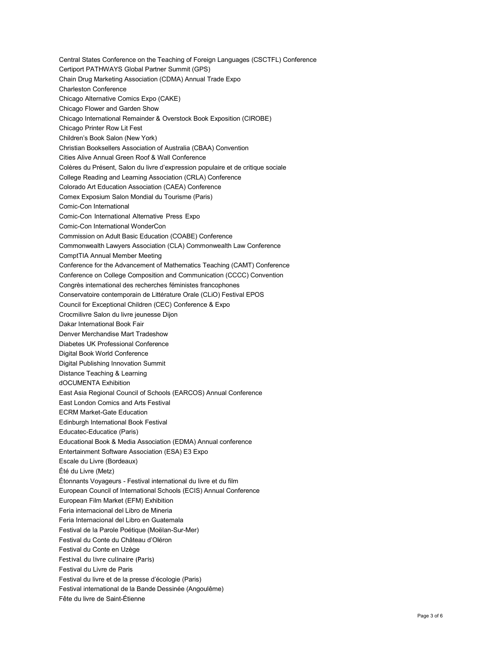Central States Conference on the Teaching of Foreign Languages (CSCTFL) Conference Certiport PATHWAYS Global Partner Summit (GPS) Chain Drug Marketing Association (CDMA) Annual Trade Expo Charleston Conference Chicago Alternative Comics Expo (CAKE) Chicago Flower and Garden Show Chicago International Remainder & Overstock Book Exposition (CIROBE) Chicago Printer Row Lit Fest Children's Book Salon (New York) Christian Booksellers Association of Australia (CBAA) Convention Cities Alive Annual Green Roof & Wall Conference Colères du Présent, Salon du livre d'expression populaire et de critique sociale College Reading and Learning Association (CRLA) Conference Colorado Art Education Association (CAEA) Conference Comex Exposium Salon Mondial du Tourisme (Paris) Comic-Con International Comic-Con International Alternative Press Expo Comic-Con International WonderCon Commission on Adult Basic Education (COABE) Conference Commonwealth Lawyers Association (CLA) Commonwealth Law Conference ComptTIA Annual Member Meeting Conference for the Advancement of Mathematics Teaching (CAMT) Conference Conference on College Composition and Communication (CCCC) Convention Congrès international des recherches féministes francophones Conservatoire contemporain de Littérature Orale (CLiO) Festival EPOS Council for Exceptional Children (CEC) Conference & Expo Crocmilivre Salon du livre jeunesse Dijon Dakar International Book Fair Denver Merchandise Mart Tradeshow Diabetes UK Professional Conference Digital Book World Conference Digital Publishing Innovation Summit Distance Teaching & Learning dOCUMENTA Exhibition East Asia Regional Council of Schools (EARCOS) Annual Conference East London Comics and Arts Festival ECRM Market-Gate Education Edinburgh International Book Festival Educatec-Educatice (Paris) Educational Book & Media Association (EDMA) Annual conference Entertainment Software Association (ESA) E3 Expo Escale du Livre (Bordeaux) Été du Livre (Metz) Étonnants Voyageurs - Festival international du livre et du film European Council of International Schools (ECIS) Annual Conference European Film Market (EFM) Exhibition Feria internacional del Libro de Mineria Feria Internacional del Libro en Guatemala Festival de la Parole Poétique (Moëlan-Sur-Mer) Festival du Conte du Château d'Oléron Festival du Conte en Uzège Festival du livre culinaire (Paris) Festival du Livre de Paris Festival du livre et de la presse d'écologie (Paris) Festival international de la Bande Dessinée (Angoulême) Fête du livre de Saint-Étienne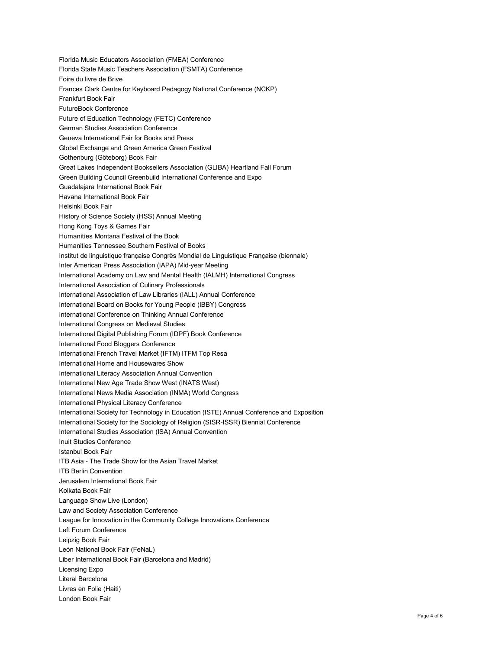Florida Music Educators Association (FMEA) Conference Florida State Music Teachers Association (FSMTA) Conference Foire du livre de Brive Frances Clark Centre for Keyboard Pedagogy National Conference (NCKP) Frankfurt Book Fair FutureBook Conference Future of Education Technology (FETC) Conference German Studies Association Conference Geneva International Fair for Books and Press Global Exchange and Green America Green Festival Gothenburg (Göteborg) Book Fair Great Lakes Independent Booksellers Association (GLIBA) Heartland Fall Forum Green Building Council Greenbuild International Conference and Expo Guadalajara International Book Fair Havana International Book Fair Helsinki Book Fair History of Science Society (HSS) Annual Meeting Hong Kong Toys & Games Fair Humanities Montana Festival of the Book Humanities Tennessee Southern Festival of Books Institut de linguistique française Congrès Mondial de Linguistique Française (biennale) Inter American Press Association (IAPA) Mid-year Meeting International Academy on Law and Mental Health (IALMH) International Congress International Association of Culinary Professionals International Association of Law Libraries (IALL) Annual Conference International Board on Books for Young People (IBBY) Congress International Conference on Thinking Annual Conference International Congress on Medieval Studies International Digital Publishing Forum (IDPF) Book Conference International Food Bloggers Conference International French Travel Market (IFTM) ITFM Top Resa International Home and Housewares Show International Literacy Association Annual Convention International New Age Trade Show West (INATS West) International News Media Association (INMA) World Congress International Physical Literacy Conference International Society for Technology in Education (ISTE) Annual Conference and Exposition International Society for the Sociology of Religion (SISR-ISSR) Biennial Conference International Studies Association (ISA) Annual Convention Inuit Studies Conference Istanbul Book Fair ITB Asia - The Trade Show for the Asian Travel Market ITB Berlin Convention Jerusalem International Book Fair Kolkata Book Fair Language Show Live (London) Law and Society Association Conference League for Innovation in the Community College Innovations Conference Left Forum Conference Leipzig Book Fair León National Book Fair (FeNaL) Liber International Book Fair (Barcelona and Madrid) Licensing Expo Literal Barcelona Livres en Folie (Haiti) London Book Fair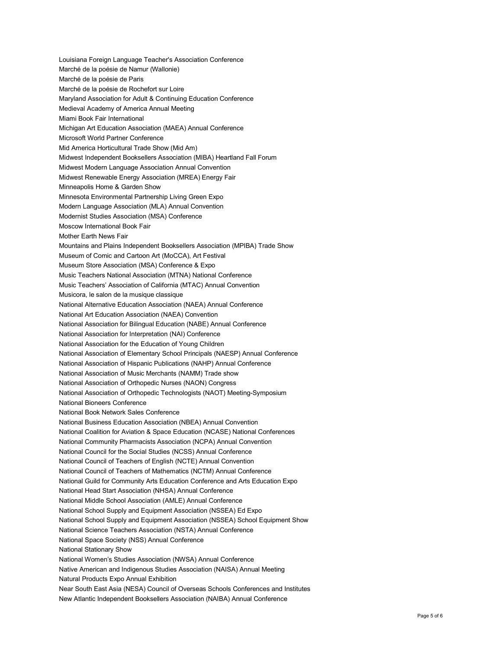Louisiana Foreign Language Teacher's Association Conference Marché de la poésie de Namur (Wallonie) Marché de la poésie de Paris Marché de la poésie de Rochefort sur Loire Maryland Association for Adult & Continuing Education Conference Medieval Academy of America Annual Meeting Miami Book Fair International Michigan Art Education Association (MAEA) Annual Conference Microsoft World Partner Conference Mid America Horticultural Trade Show (Mid Am) Midwest Independent Booksellers Association (MIBA) Heartland Fall Forum Midwest Modern Language Association Annual Convention Midwest Renewable Energy Association (MREA) Energy Fair Minneapolis Home & Garden Show Minnesota Environmental Partnership Living Green Expo Modern Language Association (MLA) Annual Convention Modernist Studies Association (MSA) Conference Moscow International Book Fair Mother Earth News Fair Mountains and Plains Independent Booksellers Association (MPIBA) Trade Show Museum of Comic and Cartoon Art (MoCCA), Art Festival Museum Store Association (MSA) Conference & Expo Music Teachers National Association (MTNA) National Conference Music Teachers' Association of California (MTAC) Annual Convention Musicora, le salon de la musique classique National Alternative Education Association (NAEA) Annual Conference National Art Education Association (NAEA) Convention National Association for Bilingual Education (NABE) Annual Conference National Association for Interpretation (NAI) Conference National Association for the Education of Young Children National Association of Elementary School Principals (NAESP) Annual Conference National Association of Hispanic Publications (NAHP) Annual Conference National Association of Music Merchants (NAMM) Trade show National Association of Orthopedic Nurses (NAON) Congress National Association of Orthopedic Technologists (NAOT) Meeting-Symposium National Bioneers Conference National Book Network Sales Conference National Business Education Association (NBEA) Annual Convention National Coalition for Aviation & Space Education (NCASE) National Conferences National Community Pharmacists Association (NCPA) Annual Convention National Council for the Social Studies (NCSS) Annual Conference National Council of Teachers of English (NCTE) Annual Convention National Council of Teachers of Mathematics (NCTM) Annual Conference National Guild for Community Arts Education Conference and Arts Education Expo National Head Start Association (NHSA) Annual Conference National Middle School Association (AMLE) Annual Conference National School Supply and Equipment Association (NSSEA) Ed Expo National School Supply and Equipment Association (NSSEA) School Equipment Show National Science Teachers Association (NSTA) Annual Conference National Space Society (NSS) Annual Conference National Stationary Show National Women's Studies Association (NWSA) Annual Conference Native American and Indigenous Studies Association (NAISA) Annual Meeting Natural Products Expo Annual Exhibition Near South East Asia (NESA) Council of Overseas Schools Conferences and Institutes

New Atlantic Independent Booksellers Association (NAIBA) Annual Conference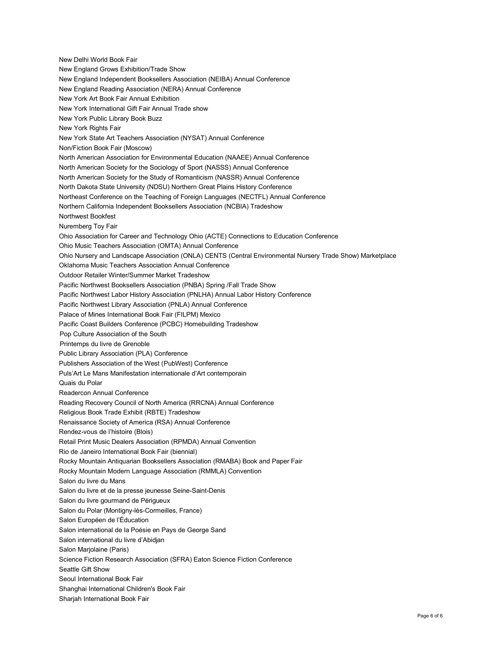New Delhi World Book Fair New England Grows Exhibition/Trade Show New England Independent Booksellers Association (NEIBA) Annual Conference New England Reading Association (NERA) Annual Conference New York Art Book Fair Annual Exhibition New York International Gift Fair Annual Trade show New York Public Library Book Buzz New York Rights Fair New York State Art Teachers Association (NYSAT) Annual Conference Non/Fiction Book Fair (Moscow) North American Association for Environmental Education (NAAEE) Annual Conference North American Society for the Sociology of Sport (NASSS) Annual Conference North American Society for the Study of Romanticism (NASSR) Annual Conference North Dakota State University (NDSU) Northern Great Plains History Conference Northeast Conference on the Teaching of Foreign Languages (NECTFL) Annual Conference Northern California Independent Booksellers Association (NCBIA) Tradeshow Northwest Bookfest Nuremberg Toy Fair Ohio Association for Career and Technology Ohio (ACTE) Connections to Education Conference Ohio Music Teachers Association (OMTA) Annual Conference Ohio Nursery and Landscape Association (ONLA) CENTS (Central Environmental Nursery Trade Show) Marketplace Oklahoma Music Teachers Association Annual Conference Outdoor Retailer Winter/Summer Market Tradeshow Pacific Northwest Booksellers Association (PNBA) Spring /Fall Trade Show Pacific Northwest Labor History Association (PNLHA) Annual Labor History Conference Pacific Northwest Library Association (PNLA) Annual Conference Palace of Mines International Book Fair (FILPM) Mexico Pacific Coast Builders Conference (PCBC) Homebuilding Tradeshow Pop Culture Association of the South Printemps du livre de Grenoble Public Library Association (PLA) Conference Publishers Association of the West (PubWest) Conference Puls'Art Le Mans Manifestation internationale d'Art contemporain Quais du Polar Readercon Annual Conference Reading Recovery Council of North America (RRCNA) Annual Conference Religious Book Trade Exhibit (RBTE) Tradeshow Renaissance Society of America (RSA) Annual Conference Rendez-vous de l'histoire (Blois) Retail Print Music Dealers Association (RPMDA) Annual Convention Rio de Janeiro International Book Fair (biennial) Rocky Mountain Antiquarian Booksellers Association (RMABA) Book and Paper Fair Rocky Mountain Modern Language Association (RMMLA) Convention Salon du livre du Mans Salon du livre et de la presse jeunesse Seine-Saint-Denis Salon du livre gourmand de Périgueux Salon du Polar (Montigny-lès-Cormeilles, France) Salon Européen de l'Éducation Salon international de la Poésie en Pays de George Sand Salon international du livre d'Abidjan Salon Marjolaine (Paris) Science Fiction Research Association (SFRA) Eaton Science Fiction Conference Seattle Gift Show Seoul International Book Fair Shanghai International Children's Book Fair Sharjah International Book Fair